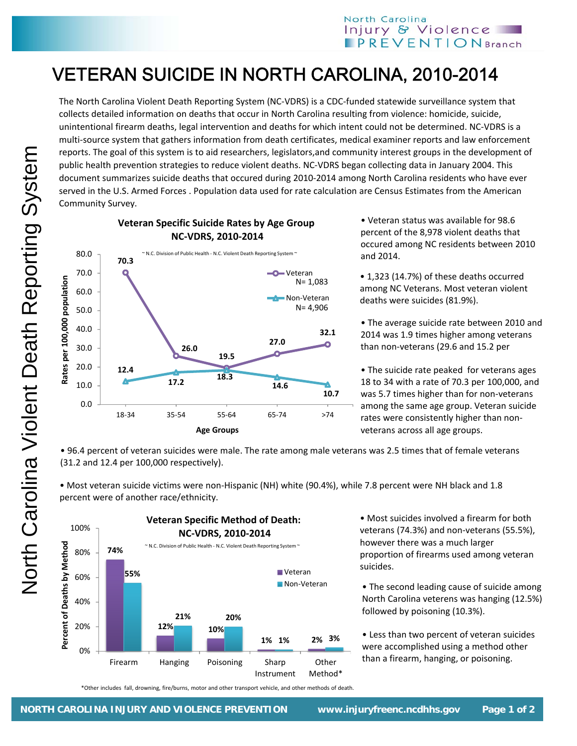## North Carolina Injury & Violence  $$

## VETERAN SUICIDE IN NORTH CAROLINA, 2010-2014

The North Carolina Violent Death Reporting System (NC‐VDRS) is a CDC‐funded statewide surveillance system that collects detailed information on deaths that occur in North Carolina resulting from violence: homicide, suicide, unintentional firearm deaths, legal intervention and deaths for which intent could not be determined. NC‐VDRS is a multi-source system that gathers information from death certificates, medical examiner reports and law enforcement reports. The goal of this system is to aid researchers, legislators,and community interest groups in the development of public health prevention strategies to reduce violent deaths. NC‐VDRS began collecting data in January 2004. This document summarizes suicide deaths that occured during 2010‐2014 among North Carolina residents who have ever served in the U.S. Armed Forces . Population data used for rate calculation are Census Estimates from the American Community Survey.



**Veteran Specific Suicide Rates by Age Group**

• Veteran status was available for 98.6 percent of the 8,978 violent deaths that occured among NC residents between 2010 and 2014.

• 1,323 (14.7%) of these deaths occurred among NC Veterans. Most veteran violent deaths were suicides (81.9%).

• The average suicide rate between 2010 and 2014 was 1.9 times higher among veterans than non‐veterans (29.6 and 15.2 per

• The suicide rate peaked for veterans ages 18 to 34 with a rate of 70.3 per 100,000, and was 5.7 times higher than for non-veterans among the same age group. Veteran suicide rates were consistently higher than non‐ veterans across all age groups.

• 96.4 percent of veteran suicides were male. The rate among male veterans was 2.5 times that of female veterans (31.2 and 12.4 per 100,000 respectively).

• Most veteran suicide victims were non‐Hispanic (NH) white (90.4%), while 7.8 percent were NH black and 1.8 percent were of another race/ethnicity.



• Most suicides involved a firearm for both veterans (74.3%) and non‐veterans (55.5%), however there was a much larger proportion of firearms used among veteran suicides.

• The second leading cause of suicide among North Carolina veterens was hanging (12.5%) followed by poisoning (10.3%).

• Less than two percent of veteran suicides were accomplished using a method other than a firearm, hanging, or poisoning.

\*Other includes fall, drowning, fire/burns, motor and other transport vehicle, and other methods of death.